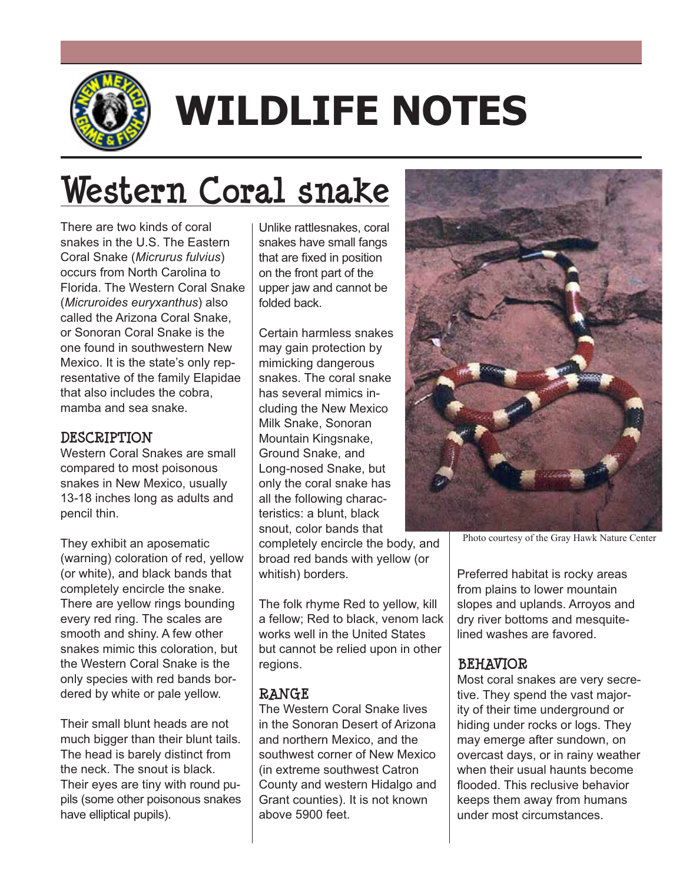

# **WILDLIFE NOTES**

## **Western Coral snake**

There are two kinds of coral snakes in the U.S. The Eastern Coral Snake (*Micrurus fulvius*) occurs from North Carolina to Florida. The Western Coral Snake (*Micruroides euryxanthus*) also called the Arizona Coral Snake, or Sonoran Coral Snake is the one found in southwestern New Mexico. It is the state's only representative of the family Elapidae that also includes the cobra, mamba and sea snake.

#### **DESCRIPTION**

Western Coral Snakes are small compared to most poisonous snakes in New Mexico, usually 13-18 inches long as adults and pencil thin.

They exhibit an aposematic (warning) coloration of red, yellow (or white), and black bands that completely encircle the snake. There are yellow rings bounding every red ring. The scales are smooth and shiny. A few other snakes mimic this coloration, but the Western Coral Snake is the only species with red bands bordered by white or pale yellow.

Their small blunt heads are not much bigger than their blunt tails. The head is barely distinct from the neck. The snout is black. Their eyes are tiny with round pupils (some other poisonous snakes have elliptical pupils).

Unlike rattlesnakes, coral snakes have small fangs that are fixed in position on the front part of the upper jaw and cannot be folded back.

Certain harmless snakes may gain protection by mimicking dangerous snakes. The coral snake has several mimics including the New Mexico Milk Snake, Sonoran Mountain Kingsnake, Ground Snake, and Long-nosed Snake, but only the coral snake has all the following characteristics: a blunt, black snout, color bands that completely encircle the body, and broad red bands with yellow (or whitish) borders.

The folk rhyme Red to yellow, kill a fellow; Red to black, venom lack works well in the United States but cannot be relied upon in other regions.

### **RANGE**

The Western Coral Snake lives in the Sonoran Desert of Arizona and northern Mexico, and the southwest corner of New Mexico (in extreme southwest Catron County and western Hidalgo and Grant counties). It is not known above 5900 feet.



Photo courtesy of the Gray Hawk Nature Center

Preferred habitat is rocky areas from plains to lower mountain slopes and uplands. Arroyos and dry river bottoms and mesquitelined washes are favored.

#### **BEHAVIOR**

Most coral snakes are very secretive. They spend the vast majority of their time underground or hiding under rocks or logs. They may emerge after sundown, on overcast days, or in rainy weather when their usual haunts become flooded. This reclusive behavior keeps them away from humans under most circumstances.